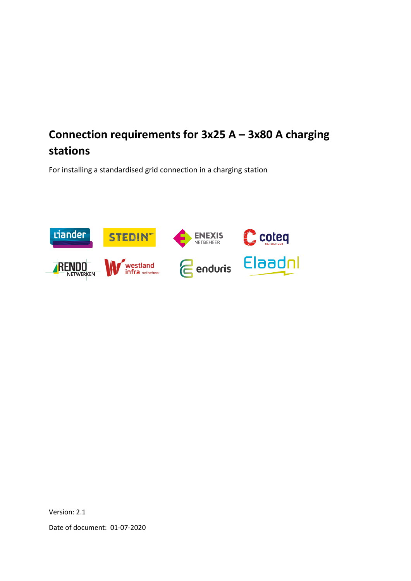# **Connection requirements for 3x25 A – 3x80 A charging stations**

For installing a standardised grid connection in a charging station



Version: 2.1

Date of document: 01-07-2020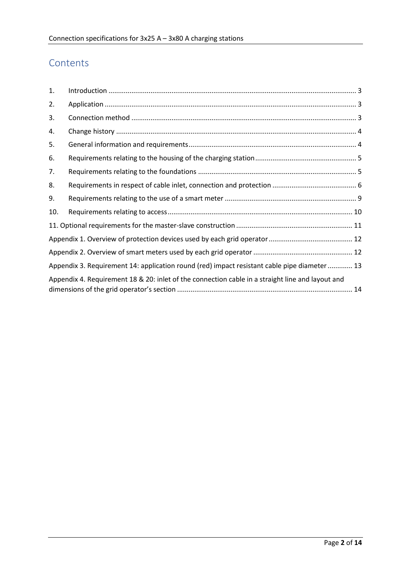## Contents

| 1.                                                                                               |                                                                                              |  |
|--------------------------------------------------------------------------------------------------|----------------------------------------------------------------------------------------------|--|
| 2.                                                                                               |                                                                                              |  |
| 3.                                                                                               |                                                                                              |  |
| 4.                                                                                               |                                                                                              |  |
| 5.                                                                                               |                                                                                              |  |
| 6.                                                                                               |                                                                                              |  |
| 7.                                                                                               |                                                                                              |  |
| 8.                                                                                               |                                                                                              |  |
| 9.                                                                                               |                                                                                              |  |
| 10.                                                                                              |                                                                                              |  |
|                                                                                                  |                                                                                              |  |
|                                                                                                  |                                                                                              |  |
|                                                                                                  |                                                                                              |  |
|                                                                                                  | Appendix 3. Requirement 14: application round (red) impact resistant cable pipe diameter  13 |  |
| Appendix 4. Requirement 18 & 20: inlet of the connection cable in a straight line and layout and |                                                                                              |  |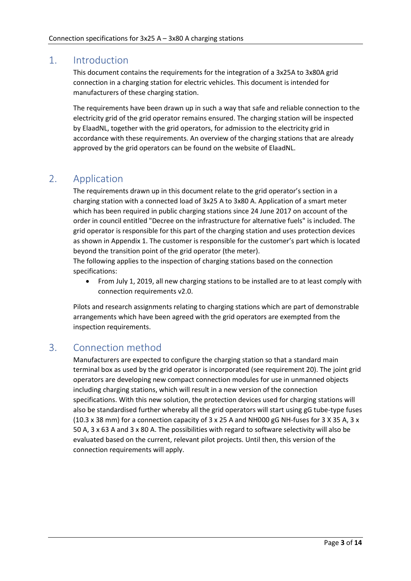#### <span id="page-2-0"></span>1. Introduction

This document contains the requirements for the integration of a 3x25A to 3x80A grid connection in a charging station for electric vehicles. This document is intended for manufacturers of these charging station.

The requirements have been drawn up in such a way that safe and reliable connection to the electricity grid of the grid operator remains ensured. The charging station will be inspected by ElaadNL, together with the grid operators, for admission to the electricity grid in accordance with these requirements. An overview of the charging stations that are already approved by the grid operators can be found on the website of ElaadNL.

### <span id="page-2-1"></span>2. Application

The requirements drawn up in this document relate to the grid operator's section in a charging station with a connected load of 3x25 A to 3x80 A. Application of a smart meter which has been required in public charging stations since 24 June 2017 on account of the order in council entitled "Decree on the infrastructure for alternative fuels" is included. The grid operator is responsible for this part of the charging station and uses protection devices as shown in Appendix 1. The customer is responsible for the customer's part which is located beyond the transition point of the grid operator (the meter).

The following applies to the inspection of charging stations based on the connection specifications:

• From July 1, 2019, all new charging stations to be installed are to at least comply with connection requirements v2.0.

Pilots and research assignments relating to charging stations which are part of demonstrable arrangements which have been agreed with the grid operators are exempted from the inspection requirements.

#### <span id="page-2-2"></span>3. Connection method

Manufacturers are expected to configure the charging station so that a standard main terminal box as used by the grid operator is incorporated (see requirement 20). The joint grid operators are developing new compact connection modules for use in unmanned objects including charging stations, which will result in a new version of the connection specifications. With this new solution, the protection devices used for charging stations will also be standardised further whereby all the grid operators will start using gG tube-type fuses (10.3 x 38 mm) for a connection capacity of 3 x 25 A and NH000 gG NH-fuses for 3 X 35 A, 3 x 50 A, 3 x 63 A and 3 x 80 A. The possibilities with regard to software selectivity will also be evaluated based on the current, relevant pilot projects. Until then, this version of the connection requirements will apply.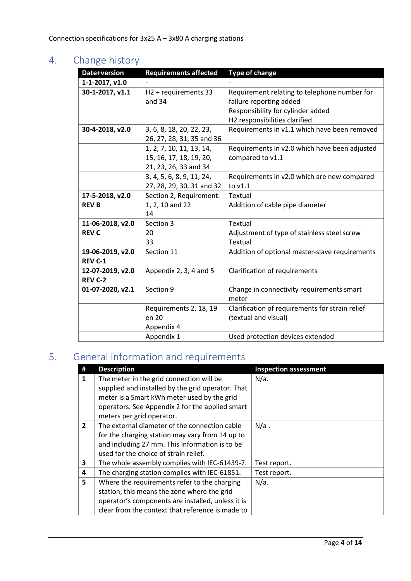# <span id="page-3-0"></span>4. Change history

| Date+version                       | <b>Requirements affected</b>                                                 | <b>Type of change</b>                                                                                                                         |
|------------------------------------|------------------------------------------------------------------------------|-----------------------------------------------------------------------------------------------------------------------------------------------|
| 1-1-2017, v1.0                     |                                                                              |                                                                                                                                               |
| 30-1-2017, v1.1                    | H2 + requirements 33<br>and $34$                                             | Requirement relating to telephone number for<br>failure reporting added<br>Responsibility for cylinder added<br>H2 responsibilities clarified |
| 30-4-2018, v2.0                    | 3, 6, 8, 18, 20, 22, 23,<br>26, 27, 28, 31, 35 and 36                        | Requirements in v1.1 which have been removed                                                                                                  |
|                                    | 1, 2, 7, 10, 11, 13, 14,<br>15, 16, 17, 18, 19, 20,<br>21, 23, 26, 33 and 34 | Requirements in v2.0 which have been adjusted<br>compared to v1.1                                                                             |
|                                    | 3, 4, 5, 6, 8, 9, 11, 24,<br>27, 28, 29, 30, 31 and 32                       | Requirements in v2.0 which are new compared<br>to v1.1                                                                                        |
| 17-5-2018, v2.0<br><b>REV B</b>    | Section 2, Requirement:<br>1, 2, 10 and 22<br>14                             | Textual<br>Addition of cable pipe diameter                                                                                                    |
| 11-06-2018, v2.0<br><b>REV C</b>   | Section 3<br>20<br>33                                                        | Textual<br>Adjustment of type of stainless steel screw<br>Textual                                                                             |
| 19-06-2019, v2.0<br><b>REV C-1</b> | Section 11                                                                   | Addition of optional master-slave requirements                                                                                                |
| 12-07-2019, v2.0<br><b>REV C-2</b> | Appendix 2, 3, 4 and 5                                                       | Clarification of requirements                                                                                                                 |
| 01-07-2020, v2.1                   | Section 9                                                                    | Change in connectivity requirements smart<br>meter                                                                                            |
|                                    | Requirements 2, 18, 19<br>en 20<br>Appendix 4                                | Clarification of requirements for strain relief<br>(textual and visual)                                                                       |
|                                    | Appendix 1                                                                   | Used protection devices extended                                                                                                              |

# <span id="page-3-1"></span>5. General information and requirements

|                | <b>Description</b>                                | <b>Inspection assessment</b> |
|----------------|---------------------------------------------------|------------------------------|
| 1              | The meter in the grid connection will be          | $N/a$ .                      |
|                | supplied and installed by the grid operator. That |                              |
|                | meter is a Smart kWh meter used by the grid       |                              |
|                | operators. See Appendix 2 for the applied smart   |                              |
|                | meters per grid operator.                         |                              |
| $\overline{2}$ | The external diameter of the connection cable     | $N/a$ .                      |
|                | for the charging station may vary from 14 up to   |                              |
|                | and including 27 mm. This Information is to be    |                              |
|                | used for the choice of strain relief.             |                              |
| 3              | The whole assembly complies with IEC-61439-7.     | Test report.                 |
| 4              | The charging station complies with IEC-61851.     | Test report.                 |
| 5              | Where the requirements refer to the charging      | $N/a$ .                      |
|                | station, this means the zone where the grid       |                              |
|                | operator's components are installed, unless it is |                              |
|                | clear from the context that reference is made to  |                              |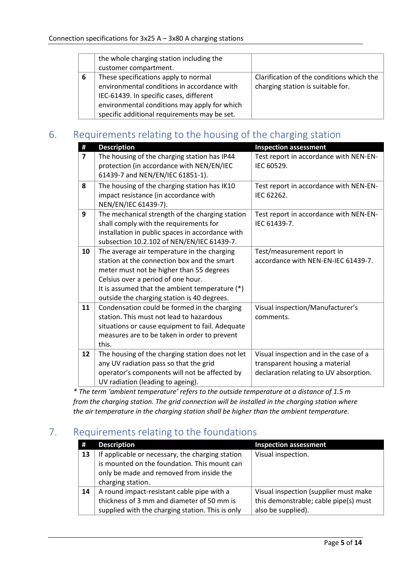|   | the whole charging station including the     |                                           |
|---|----------------------------------------------|-------------------------------------------|
|   | customer compartment.                        |                                           |
| 6 | These specifications apply to normal         | Clarification of the conditions which the |
|   | environmental conditions in accordance with  | charging station is suitable for.         |
|   | IEC-61439. In specific cases, different      |                                           |
|   | environmental conditions may apply for which |                                           |
|   | specific additional requirements may be set. |                                           |

## <span id="page-4-0"></span>6. Requirements relating to the housing of the charging station

| #              | <b>Description</b>                                                                                                                                                                                                                                                            | <b>Inspection assessment</b>                                                                                       |
|----------------|-------------------------------------------------------------------------------------------------------------------------------------------------------------------------------------------------------------------------------------------------------------------------------|--------------------------------------------------------------------------------------------------------------------|
| $\overline{ }$ | The housing of the charging station has IP44<br>protection (in accordance with NEN/EN/IEC<br>61439-7 and NEN/EN/IEC 61851-1).                                                                                                                                                 | Test report in accordance with NEN-EN-<br>IEC 60529.                                                               |
| 8              | The housing of the charging station has IK10<br>impact resistance (in accordance with<br>NEN/EN/IEC 61439-7).                                                                                                                                                                 | Test report in accordance with NEN-EN-<br>IEC 62262.                                                               |
| 9              | The mechanical strength of the charging station<br>shall comply with the requirements for<br>installation in public spaces in accordance with<br>subsection 10.2.102 of NEN/EN/IEC 61439-7.                                                                                   | Test report in accordance with NEN-EN-<br>IEC 61439-7.                                                             |
| 10             | The average air temperature in the charging<br>station at the connection box and the smart<br>meter must not be higher than 55 degrees<br>Celsius over a period of one hour.<br>It is assumed that the ambient temperature (*)<br>outside the charging station is 40 degrees. | Test/measurement report in<br>accordance with NEN-EN-IEC 61439-7.                                                  |
| 11             | Condensation could be formed in the charging<br>station. This must not lead to hazardous<br>situations or cause equipment to fail. Adequate<br>measures are to be taken in order to prevent<br>this.                                                                          | Visual inspection/Manufacturer's<br>comments.                                                                      |
| 12             | The housing of the charging station does not let<br>any UV radiation pass so that the grid<br>operator's components will not be affected by<br>UV radiation (leading to ageing).                                                                                              | Visual inspection and in the case of a<br>transparent housing a material<br>declaration relating to UV absorption. |

*\* The term 'ambient temperature' refers to the outside temperature at a distance of 1.5 m from the charging station. The grid connection will be installed in the charging station where the air temperature in the charging station shall be higher than the ambient temperature.*

## <span id="page-4-1"></span>7. Requirements relating to the foundations

| #  | <b>Description</b>                                                                                                                                                | <b>Inspection assessment</b>                                                                         |
|----|-------------------------------------------------------------------------------------------------------------------------------------------------------------------|------------------------------------------------------------------------------------------------------|
| 13 | If applicable or necessary, the charging station<br>is mounted on the foundation. This mount can<br>only be made and removed from inside the<br>charging station. | Visual inspection.                                                                                   |
| 14 | A round impact-resistant cable pipe with a<br>thickness of 3 mm and diameter of 50 mm is<br>supplied with the charging station. This is only                      | Visual inspection (supplier must make<br>this demonstrable; cable pipe(s) must<br>also be supplied). |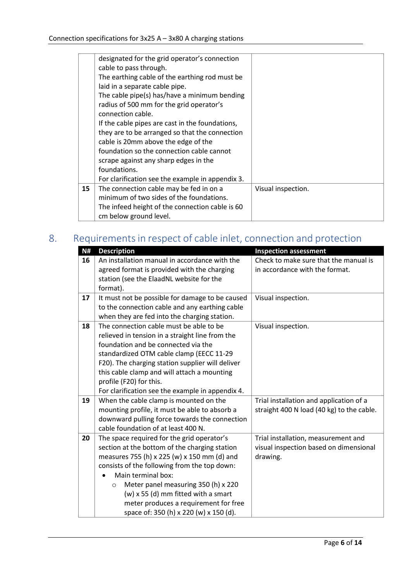|    | designated for the grid operator's connection    |                    |
|----|--------------------------------------------------|--------------------|
|    | cable to pass through.                           |                    |
|    | The earthing cable of the earthing rod must be   |                    |
|    | laid in a separate cable pipe.                   |                    |
|    | The cable pipe(s) has/have a minimum bending     |                    |
|    | radius of 500 mm for the grid operator's         |                    |
|    | connection cable.                                |                    |
|    | If the cable pipes are cast in the foundations,  |                    |
|    | they are to be arranged so that the connection   |                    |
|    | cable is 20mm above the edge of the              |                    |
|    | foundation so the connection cable cannot        |                    |
|    | scrape against any sharp edges in the            |                    |
|    | foundations.                                     |                    |
|    | For clarification see the example in appendix 3. |                    |
| 15 | The connection cable may be fed in on a          | Visual inspection. |
|    | minimum of two sides of the foundations.         |                    |
|    | The infeed height of the connection cable is 60  |                    |
|    | cm below ground level.                           |                    |

# <span id="page-5-0"></span>8. Requirements in respect of cable inlet, connection and protection

| N# | <b>Description</b>                               | <b>Inspection assessment</b>              |
|----|--------------------------------------------------|-------------------------------------------|
| 16 | An installation manual in accordance with the    | Check to make sure that the manual is     |
|    | agreed format is provided with the charging      | in accordance with the format.            |
|    | station (see the ElaadNL website for the         |                                           |
|    | format).                                         |                                           |
| 17 | It must not be possible for damage to be caused  | Visual inspection.                        |
|    | to the connection cable and any earthing cable   |                                           |
|    | when they are fed into the charging station.     |                                           |
| 18 | The connection cable must be able to be          | Visual inspection.                        |
|    | relieved in tension in a straight line from the  |                                           |
|    | foundation and be connected via the              |                                           |
|    | standardized OTM cable clamp (EECC 11-29         |                                           |
|    | F20). The charging station supplier will deliver |                                           |
|    | this cable clamp and will attach a mounting      |                                           |
|    | profile (F20) for this.                          |                                           |
|    | For clarification see the example in appendix 4. |                                           |
| 19 | When the cable clamp is mounted on the           | Trial installation and application of a   |
|    | mounting profile, it must be able to absorb a    | straight 400 N load (40 kg) to the cable. |
|    | downward pulling force towards the connection    |                                           |
|    | cable foundation of at least 400 N.              |                                           |
| 20 | The space required for the grid operator's       | Trial installation, measurement and       |
|    | section at the bottom of the charging station    | visual inspection based on dimensional    |
|    | measures 755 (h) x 225 (w) x 150 mm (d) and      | drawing.                                  |
|    | consists of the following from the top down:     |                                           |
|    | Main terminal box:                               |                                           |
|    | Meter panel measuring 350 (h) x 220<br>$\circ$   |                                           |
|    | $(w)$ x 55 (d) mm fitted with a smart            |                                           |
|    | meter produces a requirement for free            |                                           |
|    | space of: 350 (h) x 220 (w) x 150 (d).           |                                           |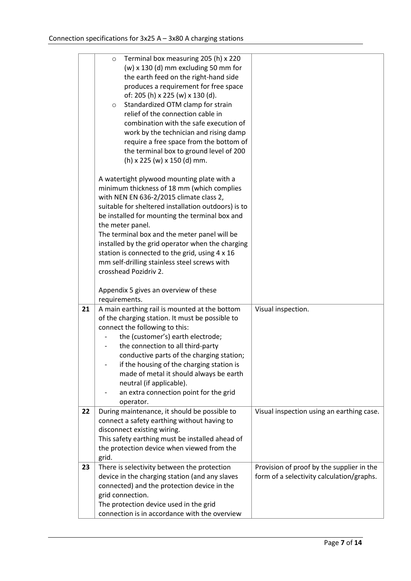|    | Terminal box measuring 205 (h) x 220<br>$\circ$<br>$(w)$ x 130 (d) mm excluding 50 mm for<br>the earth feed on the right-hand side<br>produces a requirement for free space<br>of: 205 (h) x 225 (w) x 130 (d).<br>Standardized OTM clamp for strain<br>$\circ$<br>relief of the connection cable in<br>combination with the safe execution of<br>work by the technician and rising damp                                             |                                                                                        |
|----|--------------------------------------------------------------------------------------------------------------------------------------------------------------------------------------------------------------------------------------------------------------------------------------------------------------------------------------------------------------------------------------------------------------------------------------|----------------------------------------------------------------------------------------|
|    | require a free space from the bottom of<br>the terminal box to ground level of 200<br>(h) x 225 (w) x 150 (d) mm.                                                                                                                                                                                                                                                                                                                    |                                                                                        |
|    | A watertight plywood mounting plate with a<br>minimum thickness of 18 mm (which complies<br>with NEN EN 636-2/2015 climate class 2,<br>suitable for sheltered installation outdoors) is to<br>be installed for mounting the terminal box and<br>the meter panel.                                                                                                                                                                     |                                                                                        |
|    | The terminal box and the meter panel will be<br>installed by the grid operator when the charging                                                                                                                                                                                                                                                                                                                                     |                                                                                        |
|    | station is connected to the grid, using 4 x 16<br>mm self-drilling stainless steel screws with<br>crosshead Pozidriv 2.                                                                                                                                                                                                                                                                                                              |                                                                                        |
|    | Appendix 5 gives an overview of these<br>requirements.                                                                                                                                                                                                                                                                                                                                                                               |                                                                                        |
| 21 | A main earthing rail is mounted at the bottom<br>of the charging station. It must be possible to<br>connect the following to this:<br>the (customer's) earth electrode;<br>the connection to all third-party<br>conductive parts of the charging station;<br>if the housing of the charging station is<br>made of metal it should always be earth<br>neutral (if applicable).<br>an extra connection point for the grid<br>operator. | Visual inspection.                                                                     |
| 22 | During maintenance, it should be possible to<br>connect a safety earthing without having to<br>disconnect existing wiring.<br>This safety earthing must be installed ahead of<br>the protection device when viewed from the<br>grid.                                                                                                                                                                                                 | Visual inspection using an earthing case.                                              |
| 23 | There is selectivity between the protection<br>device in the charging station (and any slaves<br>connected) and the protection device in the<br>grid connection.<br>The protection device used in the grid<br>connection is in accordance with the overview                                                                                                                                                                          | Provision of proof by the supplier in the<br>form of a selectivity calculation/graphs. |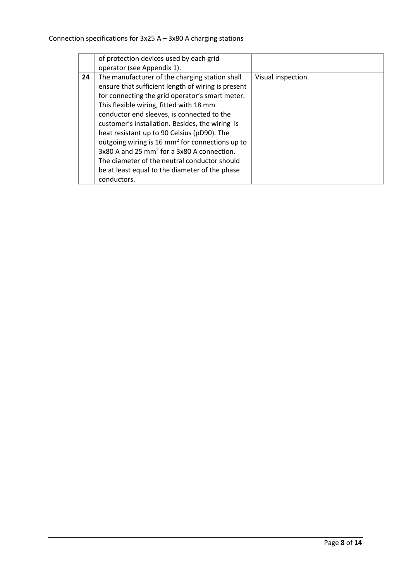|    | of protection devices used by each grid                     |                    |
|----|-------------------------------------------------------------|--------------------|
|    | operator (see Appendix 1).                                  |                    |
| 24 | The manufacturer of the charging station shall              | Visual inspection. |
|    | ensure that sufficient length of wiring is present          |                    |
|    | for connecting the grid operator's smart meter.             |                    |
|    | This flexible wiring, fitted with 18 mm                     |                    |
|    | conductor end sleeves, is connected to the                  |                    |
|    | customer's installation. Besides, the wiring is             |                    |
|    | heat resistant up to 90 Celsius (pD90). The                 |                    |
|    | outgoing wiring is 16 mm <sup>2</sup> for connections up to |                    |
|    | 3x80 A and 25 mm <sup>2</sup> for a 3x80 A connection.      |                    |
|    | The diameter of the neutral conductor should                |                    |
|    | be at least equal to the diameter of the phase              |                    |
|    | conductors.                                                 |                    |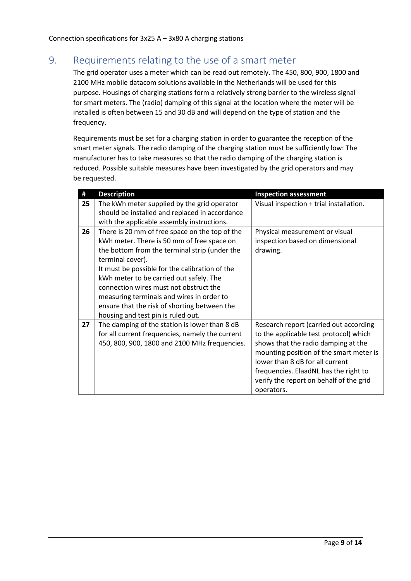### <span id="page-8-0"></span>9. Requirements relating to the use of a smart meter

The grid operator uses a meter which can be read out remotely. The 450, 800, 900, 1800 and 2100 MHz mobile datacom solutions available in the Netherlands will be used for this purpose. Housings of charging stations form a relatively strong barrier to the wireless signal for smart meters. The (radio) damping of this signal at the location where the meter will be installed is often between 15 and 30 dB and will depend on the type of station and the frequency.

Requirements must be set for a charging station in order to guarantee the reception of the smart meter signals. The radio damping of the charging station must be sufficiently low: The manufacturer has to take measures so that the radio damping of the charging station is reduced. Possible suitable measures have been investigated by the grid operators and may be requested.

| #  | <b>Description</b>                              | <b>Inspection assessment</b>            |
|----|-------------------------------------------------|-----------------------------------------|
| 25 | The kWh meter supplied by the grid operator     | Visual inspection + trial installation. |
|    | should be installed and replaced in accordance  |                                         |
|    | with the applicable assembly instructions.      |                                         |
| 26 | There is 20 mm of free space on the top of the  | Physical measurement or visual          |
|    | kWh meter. There is 50 mm of free space on      | inspection based on dimensional         |
|    | the bottom from the terminal strip (under the   | drawing.                                |
|    | terminal cover).                                |                                         |
|    | It must be possible for the calibration of the  |                                         |
|    | kWh meter to be carried out safely. The         |                                         |
|    | connection wires must not obstruct the          |                                         |
|    | measuring terminals and wires in order to       |                                         |
|    | ensure that the risk of shorting between the    |                                         |
|    | housing and test pin is ruled out.              |                                         |
| 27 | The damping of the station is lower than 8 dB   | Research report (carried out according  |
|    | for all current frequencies, namely the current | to the applicable test protocol) which  |
|    | 450, 800, 900, 1800 and 2100 MHz frequencies.   | shows that the radio damping at the     |
|    |                                                 | mounting position of the smart meter is |
|    |                                                 | lower than 8 dB for all current         |
|    |                                                 | frequencies. ElaadNL has the right to   |
|    |                                                 | verify the report on behalf of the grid |
|    |                                                 | operators.                              |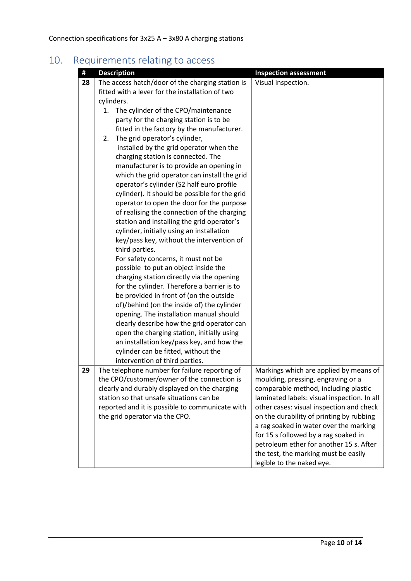# <span id="page-9-0"></span>10. Requirements relating to access

| #  | <b>Description</b>                               | <b>Inspection assessment</b>                |
|----|--------------------------------------------------|---------------------------------------------|
| 28 | The access hatch/door of the charging station is | Visual inspection.                          |
|    | fitted with a lever for the installation of two  |                                             |
|    | cylinders.                                       |                                             |
|    | The cylinder of the CPO/maintenance<br>1.        |                                             |
|    | party for the charging station is to be          |                                             |
|    | fitted in the factory by the manufacturer.       |                                             |
|    | The grid operator's cylinder,<br>2.              |                                             |
|    | installed by the grid operator when the          |                                             |
|    | charging station is connected. The               |                                             |
|    | manufacturer is to provide an opening in         |                                             |
|    | which the grid operator can install the grid     |                                             |
|    | operator's cylinder (S2 half euro profile        |                                             |
|    | cylinder). It should be possible for the grid    |                                             |
|    | operator to open the door for the purpose        |                                             |
|    | of realising the connection of the charging      |                                             |
|    | station and installing the grid operator's       |                                             |
|    | cylinder, initially using an installation        |                                             |
|    | key/pass key, without the intervention of        |                                             |
|    | third parties.                                   |                                             |
|    | For safety concerns, it must not be              |                                             |
|    | possible to put an object inside the             |                                             |
|    | charging station directly via the opening        |                                             |
|    | for the cylinder. Therefore a barrier is to      |                                             |
|    | be provided in front of (on the outside          |                                             |
|    | of)/behind (on the inside of) the cylinder       |                                             |
|    | opening. The installation manual should          |                                             |
|    | clearly describe how the grid operator can       |                                             |
|    | open the charging station, initially using       |                                             |
|    | an installation key/pass key, and how the        |                                             |
|    | cylinder can be fitted, without the              |                                             |
|    | intervention of third parties.                   |                                             |
| 29 | The telephone number for failure reporting of    | Markings which are applied by means of      |
|    | the CPO/customer/owner of the connection is      | moulding, pressing, engraving or a          |
|    | clearly and durably displayed on the charging    | comparable method, including plastic        |
|    | station so that unsafe situations can be         | laminated labels: visual inspection. In all |
|    | reported and it is possible to communicate with  | other cases: visual inspection and check    |
|    | the grid operator via the CPO.                   | on the durability of printing by rubbing    |
|    |                                                  | a rag soaked in water over the marking      |
|    |                                                  | for 15 s followed by a rag soaked in        |
|    |                                                  | petroleum ether for another 15 s. After     |
|    |                                                  | the test, the marking must be easily        |
|    |                                                  | legible to the naked eye.                   |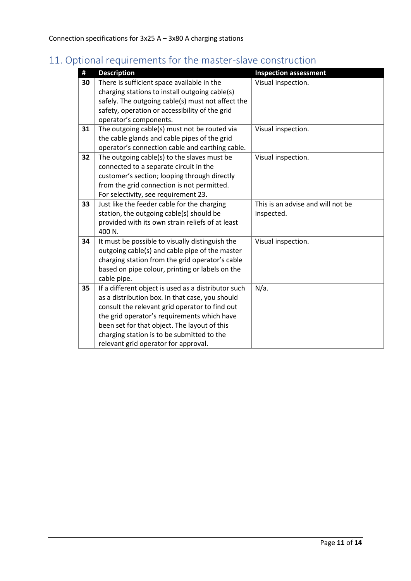# <span id="page-10-0"></span>11. Optional requirements for the master-slave construction

| #  | <b>Description</b>                                  | <b>Inspection assessment</b>      |
|----|-----------------------------------------------------|-----------------------------------|
| 30 | There is sufficient space available in the          | Visual inspection.                |
|    | charging stations to install outgoing cable(s)      |                                   |
|    | safely. The outgoing cable(s) must not affect the   |                                   |
|    | safety, operation or accessibility of the grid      |                                   |
|    | operator's components.                              |                                   |
| 31 | The outgoing cable(s) must not be routed via        | Visual inspection.                |
|    | the cable glands and cable pipes of the grid        |                                   |
|    | operator's connection cable and earthing cable.     |                                   |
| 32 | The outgoing cable(s) to the slaves must be         | Visual inspection.                |
|    | connected to a separate circuit in the              |                                   |
|    | customer's section; looping through directly        |                                   |
|    | from the grid connection is not permitted.          |                                   |
|    | For selectivity, see requirement 23.                |                                   |
| 33 | Just like the feeder cable for the charging         | This is an advise and will not be |
|    | station, the outgoing cable(s) should be            | inspected.                        |
|    | provided with its own strain reliefs of at least    |                                   |
|    | 400 N.                                              |                                   |
| 34 | It must be possible to visually distinguish the     | Visual inspection.                |
|    | outgoing cable(s) and cable pipe of the master      |                                   |
|    | charging station from the grid operator's cable     |                                   |
|    | based on pipe colour, printing or labels on the     |                                   |
|    | cable pipe.                                         |                                   |
| 35 | If a different object is used as a distributor such | $N/a$ .                           |
|    | as a distribution box. In that case, you should     |                                   |
|    | consult the relevant grid operator to find out      |                                   |
|    | the grid operator's requirements which have         |                                   |
|    | been set for that object. The layout of this        |                                   |
|    | charging station is to be submitted to the          |                                   |
|    | relevant grid operator for approval.                |                                   |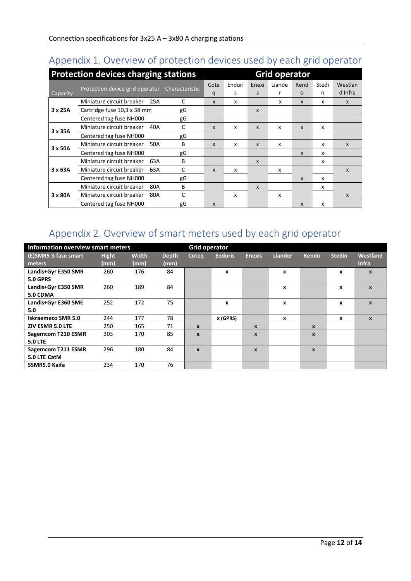## <span id="page-11-0"></span>Appendix 1. Overview of protection devices used by each grid operator

|          | <b>Protection devices charging stations</b>    |              | <b>Grid operator</b>      |        |              |        |                  |       |              |
|----------|------------------------------------------------|--------------|---------------------------|--------|--------------|--------|------------------|-------|--------------|
|          |                                                |              | Cote                      | Enduri | Enexi        | Liande | Rend             | Stedi | Westlan      |
| Capacity | Protection device grid operator Characteristic |              | q                         | s      | S            |        | $\circ$          | n     | d Infra      |
|          | Miniature circuit breaker<br>25A               | C            | X                         | x      |              | x      | X                | x     | $\mathsf{x}$ |
| 3 x 25A  | Cartridge fuse 10,3 x 38 mm                    | gG           |                           |        | $\mathsf{x}$ |        |                  |       |              |
|          | Centered tag fuse NH000                        | gG           |                           |        |              |        |                  |       |              |
| 3 x 35A  | Miniature circuit breaker<br>40A               | C            | $\boldsymbol{\mathsf{x}}$ | x      | $\mathsf{x}$ | x      | X                | X     |              |
|          | Centered tag fuse NH000                        | gG           |                           |        |              |        |                  |       |              |
|          | Miniature circuit breaker<br>50A               | B            | X                         | X      | $\mathsf{x}$ | x      |                  | x     | $\mathsf{x}$ |
| 3 x 50A  | Centered tag fuse NH000                        | gG           |                           |        |              |        | X                | x     |              |
|          | Miniature circuit breaker<br>63A               | B            |                           |        | X            |        |                  | x     |              |
| 3 x 63A  | Miniature circuit breaker<br>63A               | C            | $\boldsymbol{x}$          | X      |              | x      |                  |       | X            |
|          | Centered tag fuse NH000                        | gG           |                           |        |              |        | X                | x     |              |
|          | Miniature circuit breaker<br>80A               | B            |                           |        | $\mathsf{x}$ |        |                  | x     |              |
| 3 x 80A  | Miniature circuit breaker<br>80A               | $\mathsf{C}$ |                           | x      |              | x      |                  |       | X            |
|          | Centered tag fuse NH000                        | gG           | $\boldsymbol{x}$          |        |              |        | $\boldsymbol{x}$ | x     |              |

## <span id="page-11-1"></span>Appendix 2. Overview of smart meters used by each grid operator

| Information overview smart meters      |                      |                      |                      | <b>Grid operator</b> |                |                  |                |                  |               |                          |
|----------------------------------------|----------------------|----------------------|----------------------|----------------------|----------------|------------------|----------------|------------------|---------------|--------------------------|
| (E)SMR5 3-fase smart<br>meters         | <b>Hight</b><br>(mm) | <b>Width</b><br>(mm) | <b>Depth</b><br>(mm) | Coteq                | <b>Enduris</b> | <b>Enexis</b>    | <b>Liander</b> | Rendo            | <b>Stedin</b> | Westland<br><b>Infra</b> |
| Landis+Gyr E350 SMR<br><b>5.0 GPRS</b> | 260                  | 176                  | 84                   |                      | X              |                  | X              |                  | x             | $\mathbf{x}$             |
| Landis+Gyr E350 SMR<br>5.0 CDMA        | 260                  | 189                  | 84                   |                      |                |                  | X              |                  | x             | $\boldsymbol{x}$         |
| Landis+Gyr E360 SME<br>5.0             | 252                  | 172                  | 75                   |                      | X              |                  | X              |                  | X             | $\boldsymbol{x}$         |
| <b>Iskraemeco SMR 5.0</b>              | 244                  | 177                  | 78                   |                      | x (GPRS)       |                  | x              |                  | x             | $\mathbf{x}$             |
| ZIV ESMR 5.0 LTE                       | 250                  | 165                  | 71                   | X                    |                | $\boldsymbol{x}$ |                | X                |               |                          |
| Sagemcom T210 ESMR<br><b>5.0 LTE</b>   | 303                  | 170                  | 85                   | X                    |                | $\boldsymbol{x}$ |                | $\boldsymbol{x}$ |               |                          |
| Sagemcom T211 ESMR<br>5.0 LTE CatM     | 296                  | 180                  | 84                   | $\mathbf{x}$         |                | $\boldsymbol{x}$ |                | X                |               |                          |
| SSMR5.0 Kaifa                          | 234                  | 170                  | 76                   |                      |                |                  |                |                  |               |                          |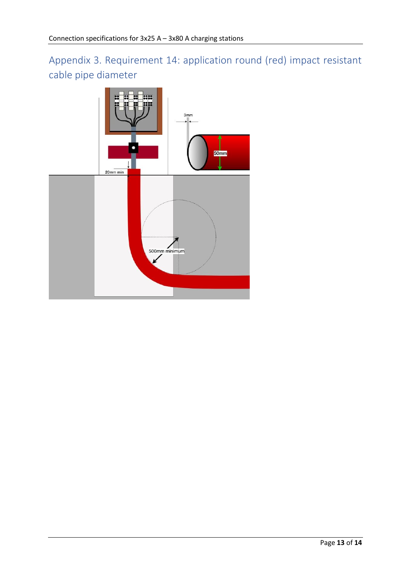<span id="page-12-0"></span>Appendix 3. Requirement 14: application round (red) impact resistant cable pipe diameter